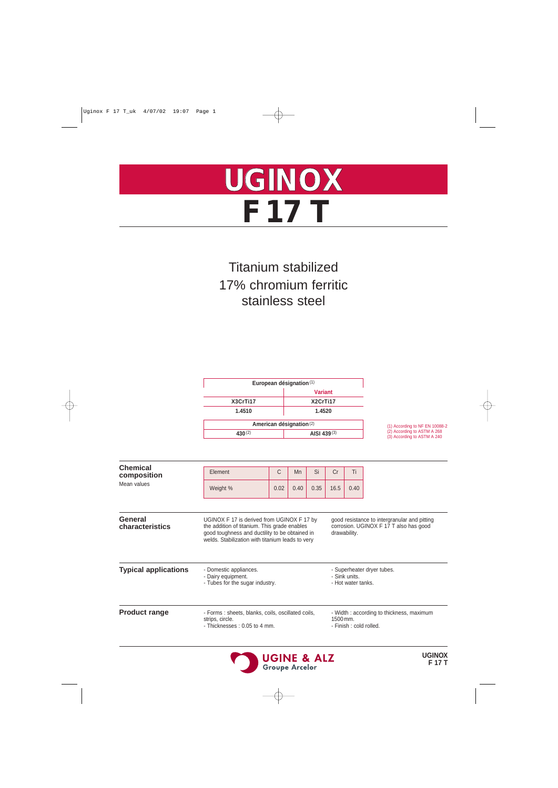

# Titanium stabilized 17% chromium ferritic stainless steel

| European désignation <sup>(1)</sup> |          |  |  |  |  |
|-------------------------------------|----------|--|--|--|--|
| <b>Variant</b>                      |          |  |  |  |  |
| X3CrTi17                            | X2CrTi17 |  |  |  |  |
| 1.4510<br>1.4520                    |          |  |  |  |  |
| American désignation <sup>(2)</sup> |          |  |  |  |  |
| AISI 439 $(3)$<br>430(2)            |          |  |  |  |  |

(1) According to NF EN 10088-2 (2) According to ASTM A 268 (3) According to ASTM A 240

| <b>Chemical</b><br>composition | Element                                                                                                                                                                                          | С<br><b>Mn</b> |      | Si       | Cr                                  | Ti                                       |                                                                                        |  |
|--------------------------------|--------------------------------------------------------------------------------------------------------------------------------------------------------------------------------------------------|----------------|------|----------|-------------------------------------|------------------------------------------|----------------------------------------------------------------------------------------|--|
| Mean values                    | Weight %                                                                                                                                                                                         | 0.02           | 0.40 | 0.35     | 16.5                                | 0.40                                     |                                                                                        |  |
| General<br>characteristics     | UGINOX F 17 is derived from UGINOX F 17 by<br>the addition of titanium. This grade enables<br>good toughness and ductility to be obtained in<br>welds. Stabilization with titanium leads to very |                |      |          |                                     | drawability.                             | good resistance to intergranular and pitting<br>corrosion. UGINOX F 17 T also has good |  |
| <b>Typical applications</b>    | - Domestic appliances.<br>- Dairy equipment.<br>- Tubes for the sugar industry.                                                                                                                  |                |      |          | - Sink units.<br>- Hot water tanks. | - Superheater dryer tubes.               |                                                                                        |  |
| <b>Product range</b>           | - Forms: sheets, blanks, coils, oscillated coils,<br>strips, circle.<br>- Thicknesses: 0.05 to 4 mm.                                                                                             |                |      | 1500 mm. | - Finish : cold rolled.             | - Width: according to thickness, maximum |                                                                                        |  |

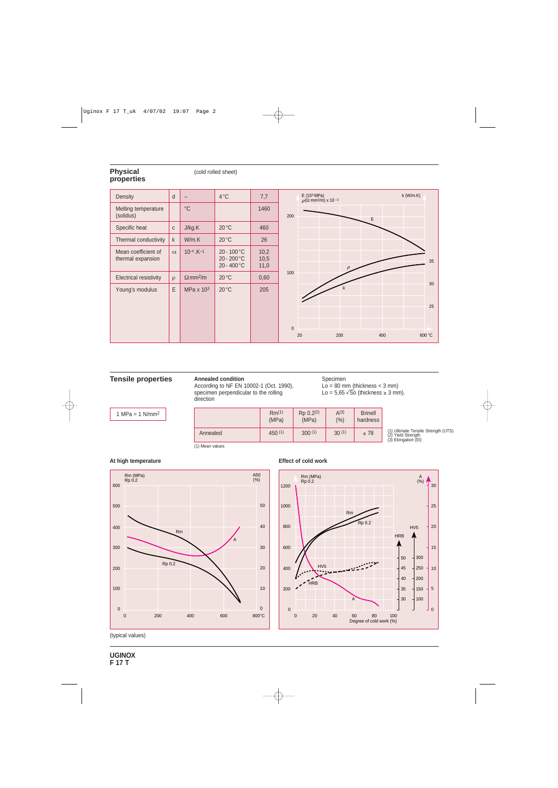## **Physical properties**

#### (cold rolled sheet)



#### **Tensile properties Annealed condition**

According to NF EN 10002-1 (Oct. 1990), specimen perpendicular to the rolling direction

Specimen  $Lo = 80$  mm (thickness  $<$  3 mm)

Lo =  $5,65\sqrt{50}$  (thickness  $\geq 3$  mm).

1 MPa =  $1$  N/mm<sup>2</sup>

**At high temperature** 

|          | Rm <sup>(1)</sup><br>(MPa) | Rp 0.2(2)<br>(MPa) | A(3)<br>(% ) | <b>Brinell</b><br>hardness |  |
|----------|----------------------------|--------------------|--------------|----------------------------|--|
| Annealed | 450(1)                     | 300(1)             | 30(1)        | $\leq 78$                  |  |

(1) Ultimate Tensile Strength (UTS) (2) Yield Strength (3) Elongation (El)

(1) Mean values



#### **Effect of cold work**



(typical values)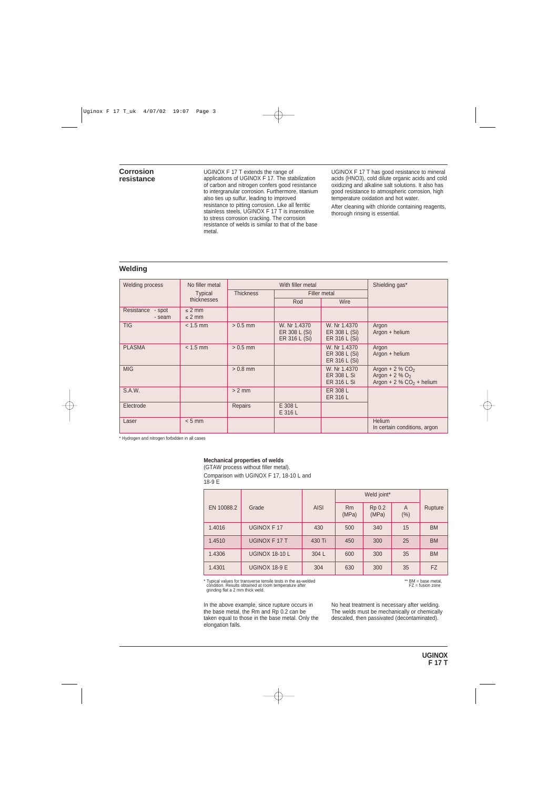### **Corrosion resistance**

UGINOX F 17 T extends the range of applications of UGINOX F 17. The stabilization of carbon and nitrogen confers good resistance to intergranular corrosion. Furthermore, titanium also ties up sulfur, leading to improved resistance to pitting corrosion. Like all ferritic stainless steels, UGINOX F 17 T is insensitive to stress corrosion cracking. The corrosion resistance of welds is similar to that of the base metal.

UGINOX F 17 T has good resistance to mineral acids (HNO3), cold dilute organic acids and cold oxidizing and alkaline salt solutions. It also has good resistance to atmospheric corrosion, high temperature oxidation and hot water.

After cleaning with chloride containing reagents, thorough rinsing is essential.

# **Welding**

| <b>Welding process</b>      | No filler metal            | With filler metal |                                                |                                                          | Shielding gas*                                                                                          |
|-----------------------------|----------------------------|-------------------|------------------------------------------------|----------------------------------------------------------|---------------------------------------------------------------------------------------------------------|
|                             | <b>Typical</b>             | <b>Thickness</b>  | Filler metal                                   |                                                          |                                                                                                         |
|                             | thicknesses                |                   | Rod                                            | Wire                                                     |                                                                                                         |
| Resistance - spot<br>- seam | $\leq$ 2 mm<br>$\leq$ 2 mm |                   |                                                |                                                          |                                                                                                         |
| <b>TIG</b>                  | $< 1.5$ mm                 | $> 0.5$ mm        | W. Nr 1.4370<br>ER 308 L (Si)<br>ER 316 L (Si) | W. Nr 1.4370<br>ER 308 L (Si)<br>ER 316 L (Si)           | Argon<br>Argon + helium                                                                                 |
| <b>PLASMA</b>               | $< 1.5$ mm                 | $> 0.5$ mm        |                                                | W. Nr 1.4370<br>ER 308 L (Si)<br>ER 316 L (Si)           | Argon<br>Argon + helium                                                                                 |
| <b>MIG</b>                  |                            | $> 0.8$ mm        |                                                | W. Nr 1.4370<br><b>ER 308 L Si</b><br><b>ER 316 L Si</b> | Argon + $2\%$ CO <sub>2</sub><br>Argon + $2\%$ O <sub>2</sub><br>Argon + $2\%$ CO <sub>2</sub> + helium |
| S.A.W.                      |                            | $> 2$ mm          |                                                | ER 308 L<br>ER 316 L                                     |                                                                                                         |
| Electrode                   |                            | Repairs           | E 308 L<br>E 316 L                             |                                                          |                                                                                                         |
| Laser                       | $< 5$ mm                   |                   |                                                |                                                          | <b>Helium</b><br>In certain conditions, argon                                                           |

\* Hydrogen and nitrogen forbidden in all cases

### **Mechanical properties of welds**

(GTAW process without filler metal).

Comparison with UGINOX F 17, 18-10 L and  $18-9E$ 

|            |                       |             | Weld joint* |                 |          |           |
|------------|-----------------------|-------------|-------------|-----------------|----------|-----------|
| EN 10088.2 | Grade                 | <b>AISI</b> | Rm<br>(MPa) | Rp 0.2<br>(MPa) | A<br>(%) | Rupture   |
| 1.4016     | <b>UGINOX F17</b>     | 430         | 500         | 340             | 15       | <b>BM</b> |
| 1.4510     | UGINOX F 17 T         | 430 Ti      | 450         | 300             | 25       | <b>BM</b> |
| 1.4306     | <b>UGINOX 18-10 L</b> | 304 L       | 600         | 300             | 35       | <b>BM</b> |
| 1.4301     | UGINOX 18-9 E         | 304         | 630         | 300             | 35       | <b>FZ</b> |

\* Typical values for transverse tensile tests in the as-welded condition. Results obtained at room temperature after grinding flat a 2 mm thick weld.

In the above example, since rupture occurs in the base metal, the Rm and Rp 0.2 can be taken equal to those in the base metal. Only the elongation falls.

\*\* BM = base metal, FZ = fusion zone

No heat treatment is necessary after welding. The welds must be mechanically or chemically descaled, then passivated (decontaminated).